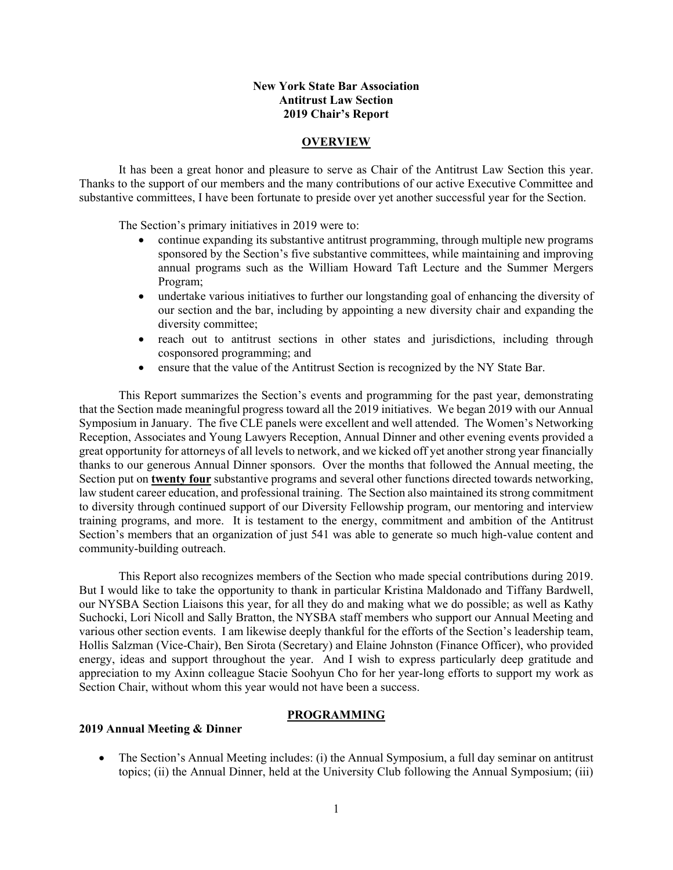#### **New York State Bar Association Antitrust Law Section 2019 Chair's Report**

#### **OVERVIEW**

It has been a great honor and pleasure to serve as Chair of the Antitrust Law Section this year. Thanks to the support of our members and the many contributions of our active Executive Committee and substantive committees, I have been fortunate to preside over yet another successful year for the Section.

The Section's primary initiatives in 2019 were to:

- continue expanding its substantive antitrust programming, through multiple new programs sponsored by the Section's five substantive committees, while maintaining and improving annual programs such as the William Howard Taft Lecture and the Summer Mergers Program;
- undertake various initiatives to further our longstanding goal of enhancing the diversity of our section and the bar, including by appointing a new diversity chair and expanding the diversity committee;
- reach out to antitrust sections in other states and jurisdictions, including through cosponsored programming; and
- ensure that the value of the Antitrust Section is recognized by the NY State Bar.

This Report summarizes the Section's events and programming for the past year, demonstrating that the Section made meaningful progress toward all the 2019 initiatives. We began 2019 with our Annual Symposium in January. The five CLE panels were excellent and well attended. The Women's Networking Reception, Associates and Young Lawyers Reception, Annual Dinner and other evening events provided a great opportunity for attorneys of all levels to network, and we kicked off yet another strong year financially thanks to our generous Annual Dinner sponsors. Over the months that followed the Annual meeting, the Section put on **twenty four** substantive programs and several other functions directed towards networking, law student career education, and professional training. The Section also maintained its strong commitment to diversity through continued support of our Diversity Fellowship program, our mentoring and interview training programs, and more. It is testament to the energy, commitment and ambition of the Antitrust Section's members that an organization of just 541 was able to generate so much high-value content and community-building outreach.

This Report also recognizes members of the Section who made special contributions during 2019. But I would like to take the opportunity to thank in particular Kristina Maldonado and Tiffany Bardwell, our NYSBA Section Liaisons this year, for all they do and making what we do possible; as well as Kathy Suchocki, Lori Nicoll and Sally Bratton, the NYSBA staff members who support our Annual Meeting and various other section events. I am likewise deeply thankful for the efforts of the Section's leadership team, Hollis Salzman (Vice-Chair), Ben Sirota (Secretary) and Elaine Johnston (Finance Officer), who provided energy, ideas and support throughout the year. And I wish to express particularly deep gratitude and appreciation to my Axinn colleague Stacie Soohyun Cho for her year-long efforts to support my work as Section Chair, without whom this year would not have been a success.

#### **PROGRAMMING**

#### **2019 Annual Meeting & Dinner**

 The Section's Annual Meeting includes: (i) the Annual Symposium, a full day seminar on antitrust topics; (ii) the Annual Dinner, held at the University Club following the Annual Symposium; (iii)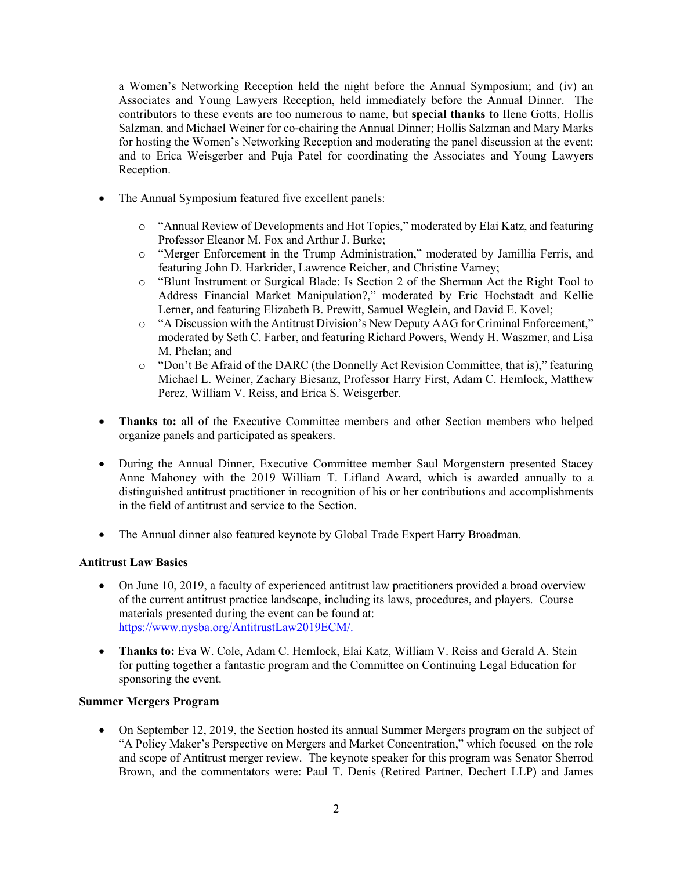a Women's Networking Reception held the night before the Annual Symposium; and (iv) an Associates and Young Lawyers Reception, held immediately before the Annual Dinner. The contributors to these events are too numerous to name, but **special thanks to** Ilene Gotts, Hollis Salzman, and Michael Weiner for co-chairing the Annual Dinner; Hollis Salzman and Mary Marks for hosting the Women's Networking Reception and moderating the panel discussion at the event; and to Erica Weisgerber and Puja Patel for coordinating the Associates and Young Lawyers Reception.

- The Annual Symposium featured five excellent panels:
	- o "Annual Review of Developments and Hot Topics," moderated by Elai Katz, and featuring Professor Eleanor M. Fox and Arthur J. Burke;
	- o "Merger Enforcement in the Trump Administration," moderated by Jamillia Ferris, and featuring John D. Harkrider, Lawrence Reicher, and Christine Varney;
	- o "Blunt Instrument or Surgical Blade: Is Section 2 of the Sherman Act the Right Tool to Address Financial Market Manipulation?," moderated by Eric Hochstadt and Kellie Lerner, and featuring Elizabeth B. Prewitt, Samuel Weglein, and David E. Kovel;
	- o "A Discussion with the Antitrust Division's New Deputy AAG for Criminal Enforcement," moderated by Seth C. Farber, and featuring Richard Powers, Wendy H. Waszmer, and Lisa M. Phelan; and
	- o "Don't Be Afraid of the DARC (the Donnelly Act Revision Committee, that is)," featuring Michael L. Weiner, Zachary Biesanz, Professor Harry First, Adam C. Hemlock, Matthew Perez, William V. Reiss, and Erica S. Weisgerber.
- **Thanks to:** all of the Executive Committee members and other Section members who helped organize panels and participated as speakers.
- During the Annual Dinner, Executive Committee member Saul Morgenstern presented Stacey Anne Mahoney with the 2019 William T. Lifland Award, which is awarded annually to a distinguished antitrust practitioner in recognition of his or her contributions and accomplishments in the field of antitrust and service to the Section.
- The Annual dinner also featured keynote by Global Trade Expert Harry Broadman.

### **Antitrust Law Basics**

- On June 10, 2019, a faculty of experienced antitrust law practitioners provided a broad overview of the current antitrust practice landscape, including its laws, procedures, and players. Course materials presented during the event can be found at: https://www.nysba.org/AntitrustLaw2019ECM/.
- **Thanks to:** Eva W. Cole, Adam C. Hemlock, Elai Katz, William V. Reiss and Gerald A. Stein for putting together a fantastic program and the Committee on Continuing Legal Education for sponsoring the event.

### **Summer Mergers Program**

 On September 12, 2019, the Section hosted its annual Summer Mergers program on the subject of "A Policy Maker's Perspective on Mergers and Market Concentration," which focused on the role and scope of Antitrust merger review. The keynote speaker for this program was Senator Sherrod Brown, and the commentators were: Paul T. Denis (Retired Partner, Dechert LLP) and James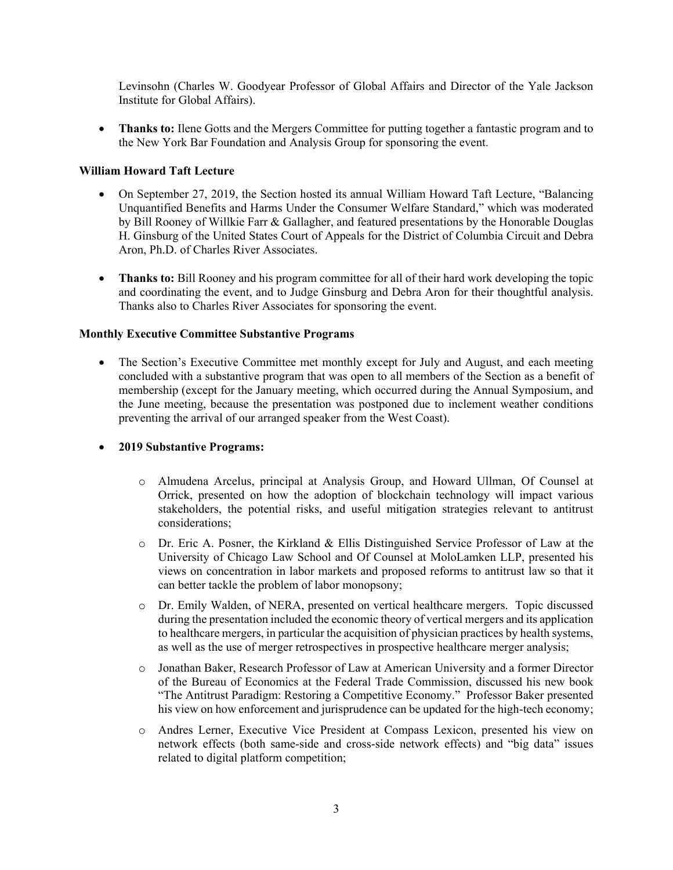Levinsohn (Charles W. Goodyear Professor of Global Affairs and Director of the Yale Jackson Institute for Global Affairs).

• **Thanks to:** Ilene Gotts and the Mergers Committee for putting together a fantastic program and to the New York Bar Foundation and Analysis Group for sponsoring the event.

# **William Howard Taft Lecture**

- On September 27, 2019, the Section hosted its annual William Howard Taft Lecture, "Balancing Unquantified Benefits and Harms Under the Consumer Welfare Standard," which was moderated by Bill Rooney of Willkie Farr & Gallagher, and featured presentations by the Honorable Douglas H. Ginsburg of the United States Court of Appeals for the District of Columbia Circuit and Debra Aron, Ph.D. of Charles River Associates.
- **Thanks to:** Bill Rooney and his program committee for all of their hard work developing the topic and coordinating the event, and to Judge Ginsburg and Debra Aron for their thoughtful analysis. Thanks also to Charles River Associates for sponsoring the event.

# **Monthly Executive Committee Substantive Programs**

• The Section's Executive Committee met monthly except for July and August, and each meeting concluded with a substantive program that was open to all members of the Section as a benefit of membership (except for the January meeting, which occurred during the Annual Symposium, and the June meeting, because the presentation was postponed due to inclement weather conditions preventing the arrival of our arranged speaker from the West Coast).

# **2019 Substantive Programs:**

- o Almudena Arcelus, principal at Analysis Group, and Howard Ullman, Of Counsel at Orrick, presented on how the adoption of blockchain technology will impact various stakeholders, the potential risks, and useful mitigation strategies relevant to antitrust considerations;
- o Dr. Eric A. Posner, the Kirkland & Ellis Distinguished Service Professor of Law at the University of Chicago Law School and Of Counsel at MoloLamken LLP, presented his views on concentration in labor markets and proposed reforms to antitrust law so that it can better tackle the problem of labor monopsony;
- o Dr. Emily Walden, of NERA, presented on vertical healthcare mergers. Topic discussed during the presentation included the economic theory of vertical mergers and its application to healthcare mergers, in particular the acquisition of physician practices by health systems, as well as the use of merger retrospectives in prospective healthcare merger analysis;
- o Jonathan Baker, Research Professor of Law at American University and a former Director of the Bureau of Economics at the Federal Trade Commission, discussed his new book "The Antitrust Paradigm: Restoring a Competitive Economy." Professor Baker presented his view on how enforcement and jurisprudence can be updated for the high-tech economy;
- o Andres Lerner, Executive Vice President at Compass Lexicon, presented his view on network effects (both same-side and cross-side network effects) and "big data" issues related to digital platform competition;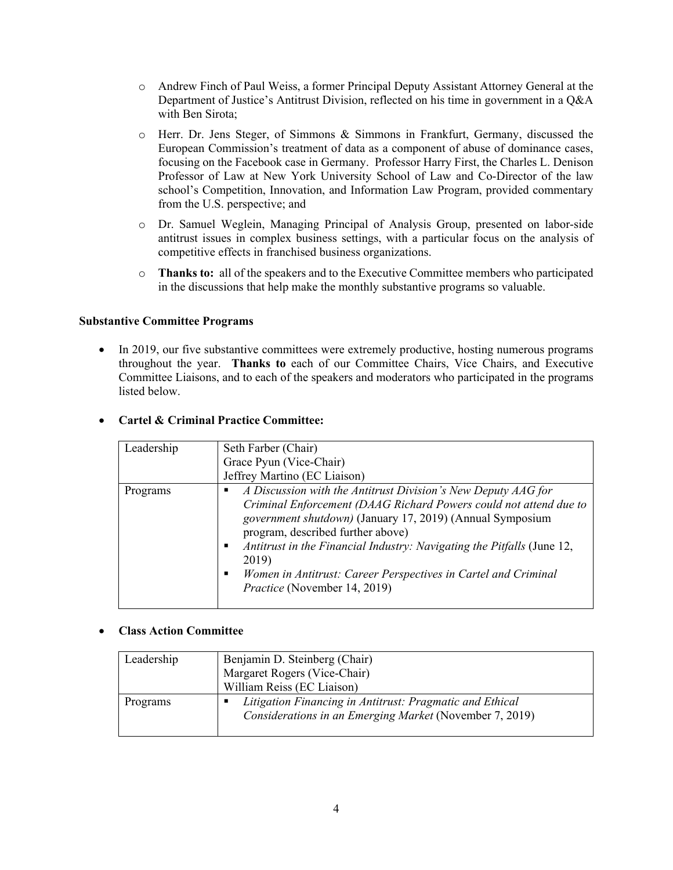- o Andrew Finch of Paul Weiss, a former Principal Deputy Assistant Attorney General at the Department of Justice's Antitrust Division, reflected on his time in government in a Q&A with Ben Sirota;
- o Herr. Dr. Jens Steger, of Simmons & Simmons in Frankfurt, Germany, discussed the European Commission's treatment of data as a component of abuse of dominance cases, focusing on the Facebook case in Germany. Professor Harry First, the Charles L. Denison Professor of Law at New York University School of Law and Co-Director of the law school's Competition, Innovation, and Information Law Program, provided commentary from the U.S. perspective; and
- o Dr. Samuel Weglein, Managing Principal of Analysis Group, presented on labor-side antitrust issues in complex business settings, with a particular focus on the analysis of competitive effects in franchised business organizations.
- o **Thanks to:** all of the speakers and to the Executive Committee members who participated in the discussions that help make the monthly substantive programs so valuable.

#### **Substantive Committee Programs**

• In 2019, our five substantive committees were extremely productive, hosting numerous programs throughout the year. **Thanks to** each of our Committee Chairs, Vice Chairs, and Executive Committee Liaisons, and to each of the speakers and moderators who participated in the programs listed below.

| Leadership | Seth Farber (Chair)                                                    |
|------------|------------------------------------------------------------------------|
|            | Grace Pyun (Vice-Chair)                                                |
|            | Jeffrey Martino (EC Liaison)                                           |
| Programs   | A Discussion with the Antitrust Division's New Deputy AAG for          |
|            | Criminal Enforcement (DAAG Richard Powers could not attend due to      |
|            | government shutdown) (January 17, 2019) (Annual Symposium              |
|            | program, described further above)                                      |
|            | Antitrust in the Financial Industry: Navigating the Pitfalls (June 12, |
|            | 2019)                                                                  |
|            | Women in Antitrust: Career Perspectives in Cartel and Criminal         |
|            | Practice (November 14, 2019)                                           |
|            |                                                                        |

### **Cartel & Criminal Practice Committee:**

### **Class Action Committee**

| Leadership | Benjamin D. Steinberg (Chair)                                                                                       |
|------------|---------------------------------------------------------------------------------------------------------------------|
|            | Margaret Rogers (Vice-Chair)                                                                                        |
|            | William Reiss (EC Liaison)                                                                                          |
| Programs   | Litigation Financing in Antitrust: Pragmatic and Ethical<br>Considerations in an Emerging Market (November 7, 2019) |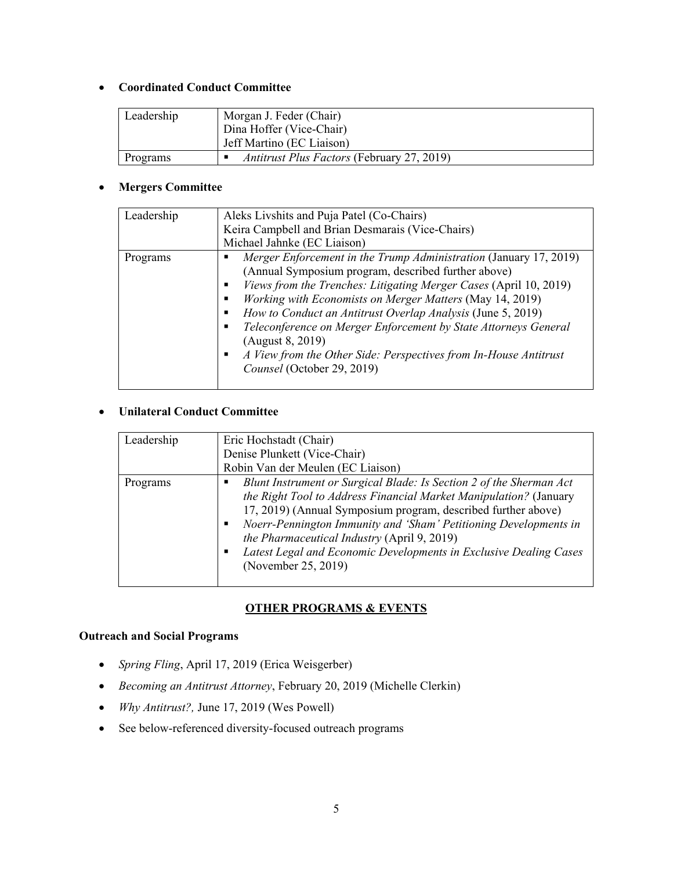# **Coordinated Conduct Committee**

| Leadership | Morgan J. Feder (Chair)                           |
|------------|---------------------------------------------------|
|            | Dina Hoffer (Vice-Chair)                          |
|            | Jeff Martino (EC Liaison)                         |
| Programs   | <i>Antitrust Plus Factors</i> (February 27, 2019) |

# **Mergers Committee**

| Leadership | Aleks Livshits and Puja Patel (Co-Chairs)                                                                                                                                                                                                                                                                                                                                                             |
|------------|-------------------------------------------------------------------------------------------------------------------------------------------------------------------------------------------------------------------------------------------------------------------------------------------------------------------------------------------------------------------------------------------------------|
|            | Keira Campbell and Brian Desmarais (Vice-Chairs)                                                                                                                                                                                                                                                                                                                                                      |
|            | Michael Jahnke (EC Liaison)                                                                                                                                                                                                                                                                                                                                                                           |
| Programs   | Merger Enforcement in the Trump Administration (January 17, 2019)<br>(Annual Symposium program, described further above)<br>Views from the Trenches: Litigating Merger Cases (April 10, 2019)<br>Working with Economists on Merger Matters (May 14, 2019)<br>How to Conduct an Antitrust Overlap Analysis (June 5, 2019)<br>٠<br>Teleconference on Merger Enforcement by State Attorneys General<br>п |
|            | (August 8, 2019)<br>A View from the Other Side: Perspectives from In-House Antitrust<br>٠<br>Counsel (October 29, 2019)                                                                                                                                                                                                                                                                               |

# **Unilateral Conduct Committee**

| Leadership | Eric Hochstadt (Chair)<br>Denise Plunkett (Vice-Chair)<br>Robin Van der Meulen (EC Liaison)                                                                                                                                                                                                                                                                                                                              |
|------------|--------------------------------------------------------------------------------------------------------------------------------------------------------------------------------------------------------------------------------------------------------------------------------------------------------------------------------------------------------------------------------------------------------------------------|
| Programs   | Blunt Instrument or Surgical Blade: Is Section 2 of the Sherman Act<br>the Right Tool to Address Financial Market Manipulation? (January<br>17, 2019) (Annual Symposium program, described further above)<br>Noerr-Pennington Immunity and 'Sham' Petitioning Developments in<br>the Pharmaceutical Industry (April 9, 2019)<br>Latest Legal and Economic Developments in Exclusive Dealing Cases<br>(November 25, 2019) |

# **OTHER PROGRAMS & EVENTS**

# **Outreach and Social Programs**

- *Spring Fling*, April 17, 2019 (Erica Weisgerber)
- *Becoming an Antitrust Attorney*, February 20, 2019 (Michelle Clerkin)
- *Why Antitrust?,* June 17, 2019 (Wes Powell)
- See below-referenced diversity-focused outreach programs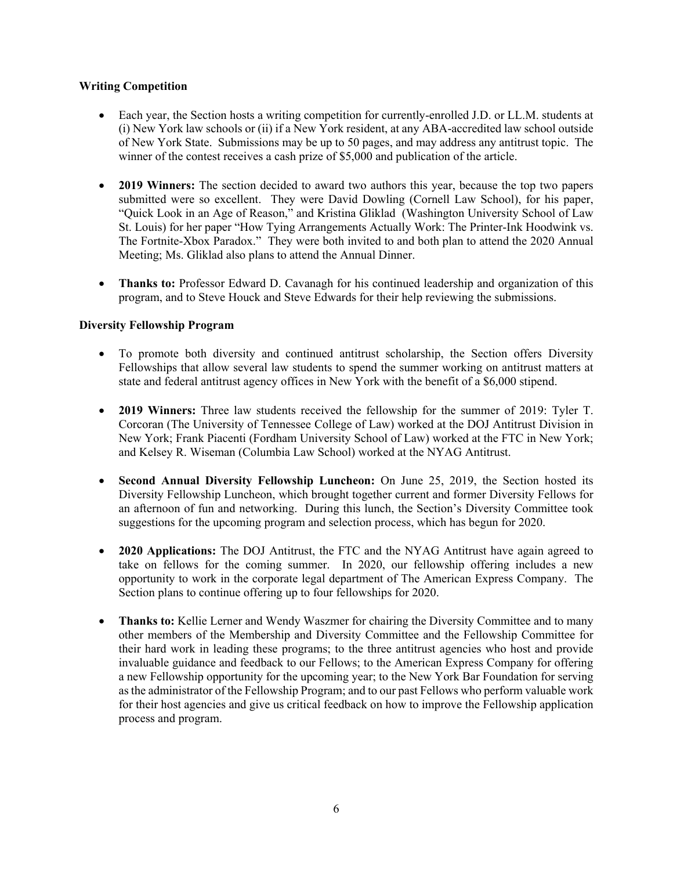### **Writing Competition**

- Each year, the Section hosts a writing competition for currently-enrolled J.D. or LL.M. students at (i) New York law schools or (ii) if a New York resident, at any ABA-accredited law school outside of New York State. Submissions may be up to 50 pages, and may address any antitrust topic. The winner of the contest receives a cash prize of \$5,000 and publication of the article.
- **2019 Winners:** The section decided to award two authors this year, because the top two papers submitted were so excellent. They were David Dowling (Cornell Law School), for his paper, "Quick Look in an Age of Reason," and Kristina Gliklad (Washington University School of Law St. Louis) for her paper "How Tying Arrangements Actually Work: The Printer-Ink Hoodwink vs. The Fortnite-Xbox Paradox." They were both invited to and both plan to attend the 2020 Annual Meeting; Ms. Gliklad also plans to attend the Annual Dinner.
- **Thanks to:** Professor Edward D. Cavanagh for his continued leadership and organization of this program, and to Steve Houck and Steve Edwards for their help reviewing the submissions.

# **Diversity Fellowship Program**

- To promote both diversity and continued antitrust scholarship, the Section offers Diversity Fellowships that allow several law students to spend the summer working on antitrust matters at state and federal antitrust agency offices in New York with the benefit of a \$6,000 stipend.
- **2019 Winners:** Three law students received the fellowship for the summer of 2019: Tyler T. Corcoran (The University of Tennessee College of Law) worked at the DOJ Antitrust Division in New York; Frank Piacenti (Fordham University School of Law) worked at the FTC in New York; and Kelsey R. Wiseman (Columbia Law School) worked at the NYAG Antitrust.
- **Second Annual Diversity Fellowship Luncheon:** On June 25, 2019, the Section hosted its Diversity Fellowship Luncheon, which brought together current and former Diversity Fellows for an afternoon of fun and networking. During this lunch, the Section's Diversity Committee took suggestions for the upcoming program and selection process, which has begun for 2020.
- **2020 Applications:** The DOJ Antitrust, the FTC and the NYAG Antitrust have again agreed to take on fellows for the coming summer. In 2020, our fellowship offering includes a new opportunity to work in the corporate legal department of The American Express Company. The Section plans to continue offering up to four fellowships for 2020.
- **Thanks to:** Kellie Lerner and Wendy Waszmer for chairing the Diversity Committee and to many other members of the Membership and Diversity Committee and the Fellowship Committee for their hard work in leading these programs; to the three antitrust agencies who host and provide invaluable guidance and feedback to our Fellows; to the American Express Company for offering a new Fellowship opportunity for the upcoming year; to the New York Bar Foundation for serving as the administrator of the Fellowship Program; and to our past Fellows who perform valuable work for their host agencies and give us critical feedback on how to improve the Fellowship application process and program.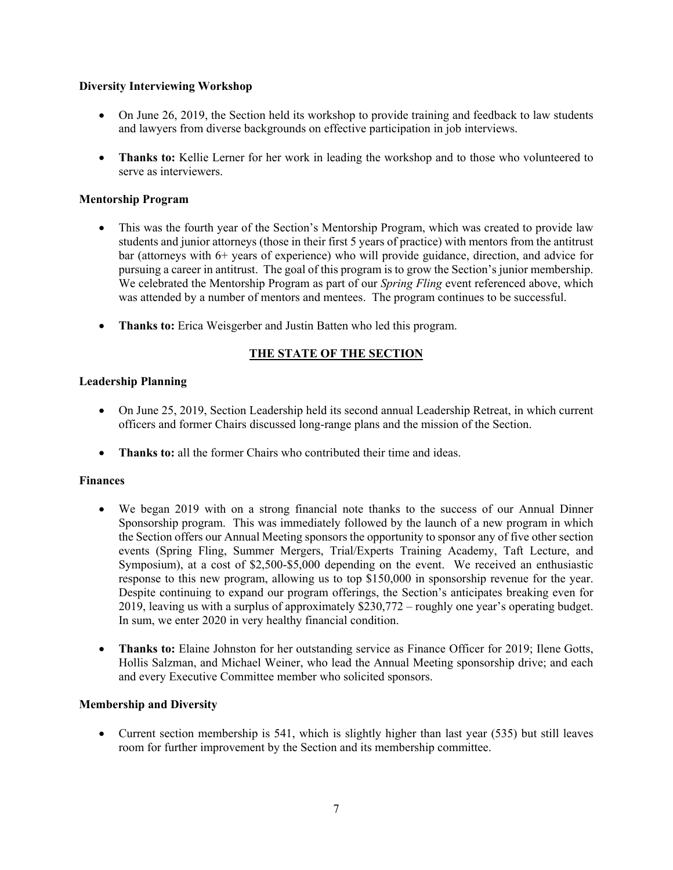# **Diversity Interviewing Workshop**

- On June 26, 2019, the Section held its workshop to provide training and feedback to law students and lawyers from diverse backgrounds on effective participation in job interviews.
- **Thanks to:** Kellie Lerner for her work in leading the workshop and to those who volunteered to serve as interviewers.

# **Mentorship Program**

- This was the fourth year of the Section's Mentorship Program, which was created to provide law students and junior attorneys (those in their first 5 years of practice) with mentors from the antitrust bar (attorneys with 6+ years of experience) who will provide guidance, direction, and advice for pursuing a career in antitrust. The goal of this program is to grow the Section's junior membership. We celebrated the Mentorship Program as part of our *Spring Fling* event referenced above, which was attended by a number of mentors and mentees. The program continues to be successful.
- **Thanks to:** Erica Weisgerber and Justin Batten who led this program.

# **THE STATE OF THE SECTION**

# **Leadership Planning**

- On June 25, 2019, Section Leadership held its second annual Leadership Retreat, in which current officers and former Chairs discussed long-range plans and the mission of the Section.
- **Thanks to:** all the former Chairs who contributed their time and ideas.

### **Finances**

- We began 2019 with on a strong financial note thanks to the success of our Annual Dinner Sponsorship program. This was immediately followed by the launch of a new program in which the Section offers our Annual Meeting sponsors the opportunity to sponsor any of five other section events (Spring Fling, Summer Mergers, Trial/Experts Training Academy, Taft Lecture, and Symposium), at a cost of \$2,500-\$5,000 depending on the event. We received an enthusiastic response to this new program, allowing us to top \$150,000 in sponsorship revenue for the year. Despite continuing to expand our program offerings, the Section's anticipates breaking even for 2019, leaving us with a surplus of approximately \$230,772 – roughly one year's operating budget. In sum, we enter 2020 in very healthy financial condition.
- **Thanks to:** Elaine Johnston for her outstanding service as Finance Officer for 2019; Ilene Gotts, Hollis Salzman, and Michael Weiner, who lead the Annual Meeting sponsorship drive; and each and every Executive Committee member who solicited sponsors.

### **Membership and Diversity**

 Current section membership is 541, which is slightly higher than last year (535) but still leaves room for further improvement by the Section and its membership committee.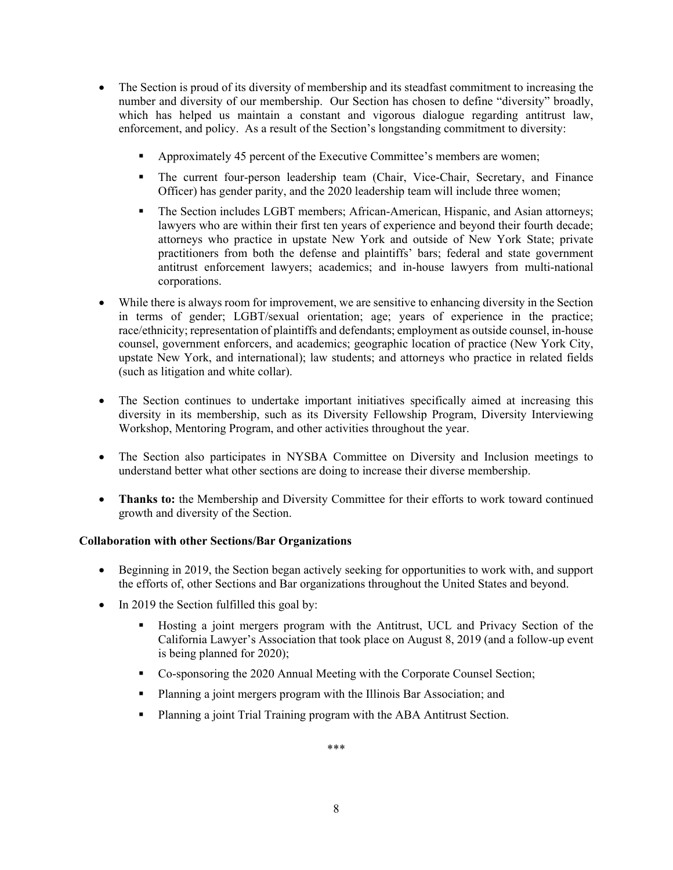- The Section is proud of its diversity of membership and its steadfast commitment to increasing the number and diversity of our membership. Our Section has chosen to define "diversity" broadly, which has helped us maintain a constant and vigorous dialogue regarding antitrust law, enforcement, and policy. As a result of the Section's longstanding commitment to diversity:
	- Approximately 45 percent of the Executive Committee's members are women;
	- The current four-person leadership team (Chair, Vice-Chair, Secretary, and Finance Officer) has gender parity, and the 2020 leadership team will include three women;
	- The Section includes LGBT members; African-American, Hispanic, and Asian attorneys; lawyers who are within their first ten years of experience and beyond their fourth decade; attorneys who practice in upstate New York and outside of New York State; private practitioners from both the defense and plaintiffs' bars; federal and state government antitrust enforcement lawyers; academics; and in-house lawyers from multi-national corporations.
- While there is always room for improvement, we are sensitive to enhancing diversity in the Section in terms of gender; LGBT/sexual orientation; age; years of experience in the practice; race/ethnicity; representation of plaintiffs and defendants; employment as outside counsel, in-house counsel, government enforcers, and academics; geographic location of practice (New York City, upstate New York, and international); law students; and attorneys who practice in related fields (such as litigation and white collar).
- The Section continues to undertake important initiatives specifically aimed at increasing this diversity in its membership, such as its Diversity Fellowship Program, Diversity Interviewing Workshop, Mentoring Program, and other activities throughout the year.
- The Section also participates in NYSBA Committee on Diversity and Inclusion meetings to understand better what other sections are doing to increase their diverse membership.
- **Thanks to:** the Membership and Diversity Committee for their efforts to work toward continued growth and diversity of the Section.

### **Collaboration with other Sections/Bar Organizations**

- Beginning in 2019, the Section began actively seeking for opportunities to work with, and support the efforts of, other Sections and Bar organizations throughout the United States and beyond.
- In 2019 the Section fulfilled this goal by:
	- Hosting a joint mergers program with the Antitrust, UCL and Privacy Section of the California Lawyer's Association that took place on August 8, 2019 (and a follow-up event is being planned for 2020);
	- Co-sponsoring the 2020 Annual Meeting with the Corporate Counsel Section;
	- **Planning a joint mergers program with the Illinois Bar Association; and**
	- Planning a joint Trial Training program with the ABA Antitrust Section.

\*\*\*